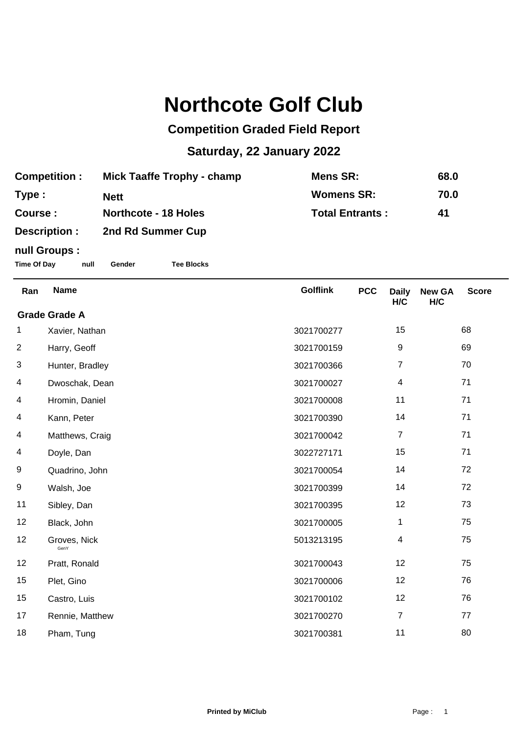## **Northcote Golf Club**

## **Competition Graded Field Report**

## **Saturday, 22 January 2022**

| <b>Competition:</b> | <b>Mick Taaffe Trophy - champ</b> | Mens SR:               | 68.0 |
|---------------------|-----------------------------------|------------------------|------|
| Type :              | Nett                              | <b>Womens SR:</b>      | 70.0 |
| <b>Course:</b>      | <b>Northcote - 18 Holes</b>       | <b>Total Entrants:</b> | -41  |
| <b>Description:</b> | 2nd Rd Summer Cup                 |                        |      |

## **null Groups :**

**Time Of Day null Gender Tee Blocks**

| Ran                  | <b>Name</b>          | <b>Golflink</b> | <b>PCC</b> | <b>Daily</b><br>H/C     | <b>New GA</b><br>H/C | <b>Score</b> |  |
|----------------------|----------------------|-----------------|------------|-------------------------|----------------------|--------------|--|
| <b>Grade Grade A</b> |                      |                 |            |                         |                      |              |  |
| 1                    | Xavier, Nathan       | 3021700277      |            | 15                      |                      | 68           |  |
| $\overline{2}$       | Harry, Geoff         | 3021700159      |            | $\boldsymbol{9}$        |                      | 69           |  |
| 3                    | Hunter, Bradley      | 3021700366      |            | $\overline{7}$          |                      | 70           |  |
| 4                    | Dwoschak, Dean       | 3021700027      |            | $\overline{\mathbf{4}}$ |                      | 71           |  |
| 4                    | Hromin, Daniel       | 3021700008      |            | 11                      |                      | 71           |  |
| 4                    | Kann, Peter          | 3021700390      |            | 14                      |                      | 71           |  |
| 4                    | Matthews, Craig      | 3021700042      |            | $\overline{7}$          |                      | 71           |  |
| 4                    | Doyle, Dan           | 3022727171      |            | 15                      |                      | 71           |  |
| 9                    | Quadrino, John       | 3021700054      |            | 14                      |                      | 72           |  |
| 9                    | Walsh, Joe           | 3021700399      |            | 14                      |                      | 72           |  |
| 11                   | Sibley, Dan          | 3021700395      |            | 12                      |                      | 73           |  |
| 12                   | Black, John          | 3021700005      |            | 1                       |                      | 75           |  |
| 12                   | Groves, Nick<br>GenY | 5013213195      |            | $\overline{4}$          |                      | 75           |  |
| 12                   | Pratt, Ronald        | 3021700043      |            | 12                      |                      | 75           |  |
| 15                   | Plet, Gino           | 3021700006      |            | 12                      |                      | 76           |  |
| 15                   | Castro, Luis         | 3021700102      |            | 12                      |                      | 76           |  |
| 17                   | Rennie, Matthew      | 3021700270      |            | $\overline{7}$          |                      | 77           |  |
| 18                   | Pham, Tung           | 3021700381      |            | 11                      |                      | 80           |  |